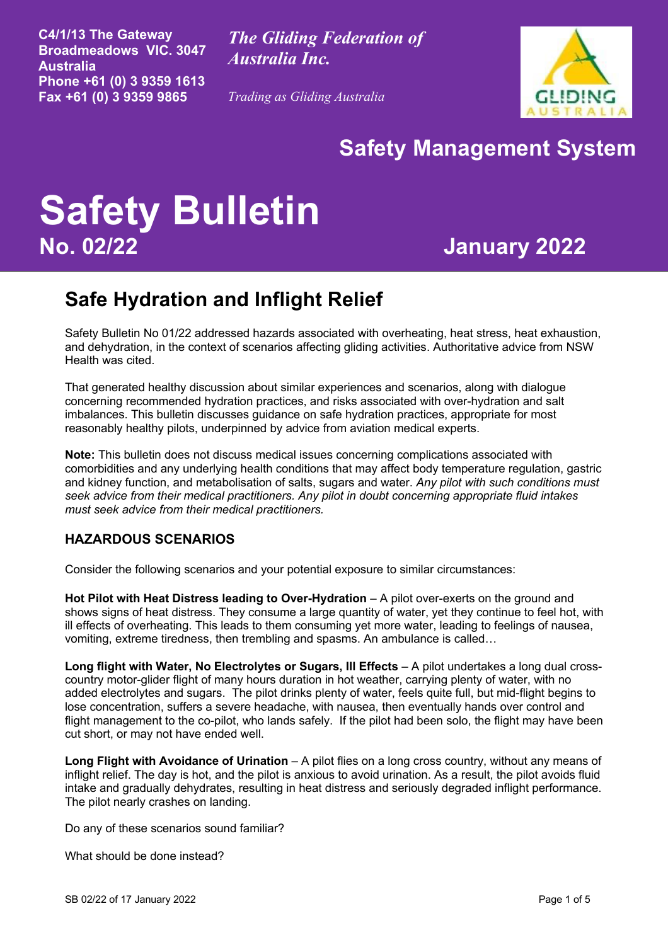**C4/1/13 The Gateway Broadmeadows VIC. 3047 Australia Phone +61 (0) 3 9359 1613 Fax +61 (0) 3 9359 9865**

*The Gliding Federation of Australia Inc.*

*Trading as Gliding Australia*



# **Safety Management System**

# **Safety Bulletin No. 02/22 January 2022**

## **Safe Hydration and Inflight Relief**

Safety Bulletin No 01/22 addressed hazards associated with overheating, heat stress, heat exhaustion, and dehydration, in the context of scenarios affecting gliding activities. Authoritative advice from NSW Health was cited.

That generated healthy discussion about similar experiences and scenarios, along with dialogue concerning recommended hydration practices, and risks associated with over-hydration and salt imbalances. This bulletin discusses guidance on safe hydration practices, appropriate for most reasonably healthy pilots, underpinned by advice from aviation medical experts.

**Note:** This bulletin does not discuss medical issues concerning complications associated with comorbidities and any underlying health conditions that may affect body temperature regulation, gastric and kidney function, and metabolisation of salts, sugars and water. *Any pilot with such conditions must seek advice from their medical practitioners. Any pilot in doubt concerning appropriate fluid intakes must seek advice from their medical practitioners.*

#### **HAZARDOUS SCENARIOS**

Consider the following scenarios and your potential exposure to similar circumstances:

**Hot Pilot with Heat Distress leading to Over-Hydration** – A pilot over-exerts on the ground and shows signs of heat distress. They consume a large quantity of water, yet they continue to feel hot, with ill effects of overheating. This leads to them consuming yet more water, leading to feelings of nausea, vomiting, extreme tiredness, then trembling and spasms. An ambulance is called…

**Long flight with Water, No Electrolytes or Sugars, Ill Effects** – A pilot undertakes a long dual crosscountry motor-glider flight of many hours duration in hot weather, carrying plenty of water, with no added electrolytes and sugars. The pilot drinks plenty of water, feels quite full, but mid-flight begins to lose concentration, suffers a severe headache, with nausea, then eventually hands over control and flight management to the co-pilot, who lands safely. If the pilot had been solo, the flight may have been cut short, or may not have ended well.

**Long Flight with Avoidance of Urination** – A pilot flies on a long cross country, without any means of inflight relief. The day is hot, and the pilot is anxious to avoid urination. As a result, the pilot avoids fluid intake and gradually dehydrates, resulting in heat distress and seriously degraded inflight performance. The pilot nearly crashes on landing.

Do any of these scenarios sound familiar?

What should be done instead?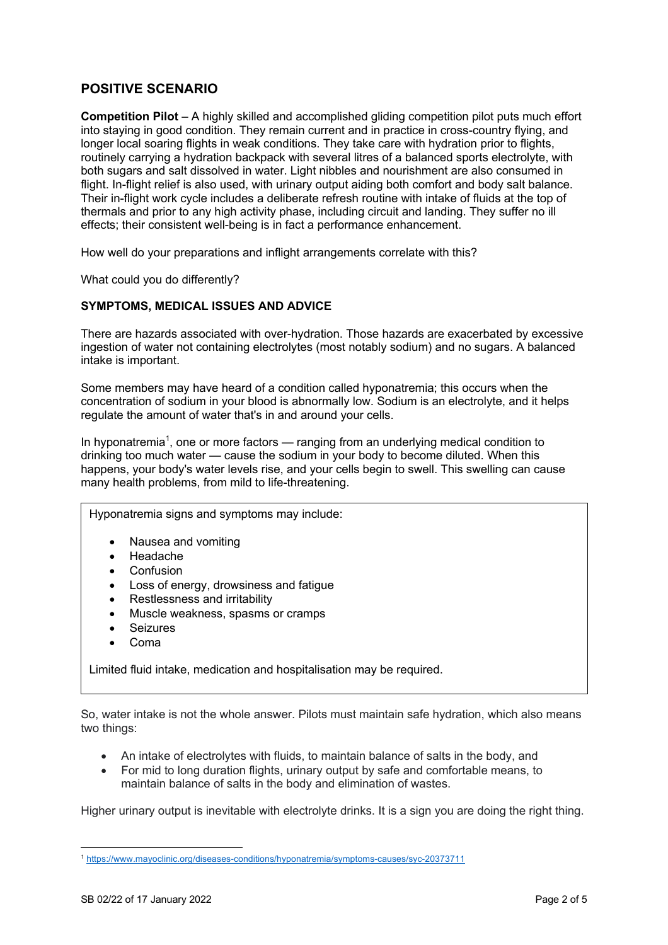### **POSITIVE SCENARIO**

**Competition Pilot** – A highly skilled and accomplished gliding competition pilot puts much effort into staying in good condition. They remain current and in practice in cross-country flying, and longer local soaring flights in weak conditions. They take care with hydration prior to flights, routinely carrying a hydration backpack with several litres of a balanced sports electrolyte, with both sugars and salt dissolved in water. Light nibbles and nourishment are also consumed in flight. In-flight relief is also used, with urinary output aiding both comfort and body salt balance. Their in-flight work cycle includes a deliberate refresh routine with intake of fluids at the top of thermals and prior to any high activity phase, including circuit and landing. They suffer no ill effects; their consistent well-being is in fact a performance enhancement.

How well do your preparations and inflight arrangements correlate with this?

What could you do differently?

#### **SYMPTOMS, MEDICAL ISSUES AND ADVICE**

There are hazards associated with over-hydration. Those hazards are exacerbated by excessive ingestion of water not containing electrolytes (most notably sodium) and no sugars. A balanced intake is important.

Some members may have heard of a condition called hyponatremia; this occurs when the concentration of sodium in your blood is abnormally low. Sodium is an electrolyte, and it helps regulate the amount of water that's in and around your cells.

In hyponatremia<sup>1</sup>, one or more factors — ranging from an underlying medical condition to drinking too much water — cause the sodium in your body to become diluted. When this happens, your body's water levels rise, and your cells begin to swell. This swelling can cause many health problems, from mild to life-threatening.

Hyponatremia signs and symptoms may include:

- Nausea and vomiting
- Headache
- **Confusion**
- Loss of energy, drowsiness and fatigue
- Restlessness and irritability
- Muscle weakness, spasms or cramps
- Seizures
- Coma

Limited fluid intake, medication and hospitalisation may be required.

So, water intake is not the whole answer. Pilots must maintain safe hydration, which also means two things:

- An intake of electrolytes with fluids, to maintain balance of salts in the body, and
- For mid to long duration flights, urinary output by safe and comfortable means, to maintain balance of salts in the body and elimination of wastes.

Higher urinary output is inevitable with electrolyte drinks. It is a sign you are doing the right thing.

<sup>1</sup> https://www.mayoclinic.org/diseases-conditions/hyponatremia/symptoms-causes/syc-20373711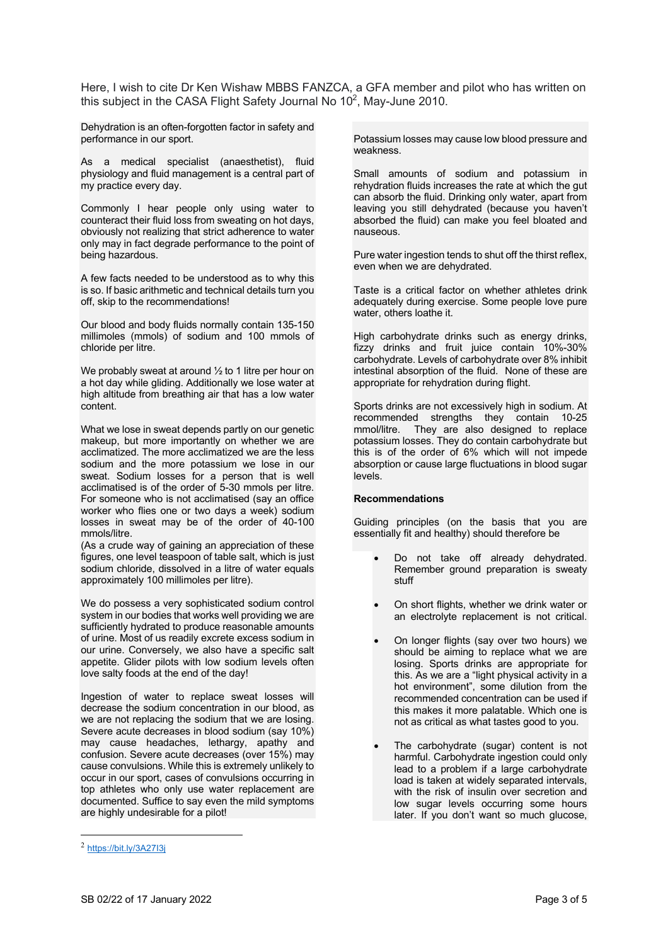Here, I wish to cite Dr Ken Wishaw MBBS FANZCA, a GFA member and pilot who has written on this subject in the CASA Flight Safety Journal No  $10^2$ , May-June 2010.

Dehydration is an often-forgotten factor in safety and performance in our sport.

As a medical specialist (anaesthetist), fluid physiology and fluid management is a central part of my practice every day.

Commonly I hear people only using water to counteract their fluid loss from sweating on hot days, obviously not realizing that strict adherence to water only may in fact degrade performance to the point of being hazardous.

A few facts needed to be understood as to why this is so. If basic arithmetic and technical details turn you off, skip to the recommendations!

Our blood and body fluids normally contain 135-150 millimoles (mmols) of sodium and 100 mmols of chloride per litre.

We probably sweat at around 1/2 to 1 litre per hour on a hot day while gliding. Additionally we lose water at high altitude from breathing air that has a low water content.

What we lose in sweat depends partly on our genetic makeup, but more importantly on whether we are acclimatized. The more acclimatized we are the less sodium and the more potassium we lose in our sweat. Sodium losses for a person that is well acclimatised is of the order of 5-30 mmols per litre. For someone who is not acclimatised (say an office worker who flies one or two days a week) sodium losses in sweat may be of the order of 40-100 mmols/litre.

(As a crude way of gaining an appreciation of these figures, one level teaspoon of table salt, which is just sodium chloride, dissolved in a litre of water equals approximately 100 millimoles per litre).

We do possess a very sophisticated sodium control system in our bodies that works well providing we are sufficiently hydrated to produce reasonable amounts of urine. Most of us readily excrete excess sodium in our urine. Conversely, we also have a specific salt appetite. Glider pilots with low sodium levels often love salty foods at the end of the day!

Ingestion of water to replace sweat losses will decrease the sodium concentration in our blood, as we are not replacing the sodium that we are losing. Severe acute decreases in blood sodium (say 10%) may cause headaches, lethargy, apathy and confusion. Severe acute decreases (over 15%) may cause convulsions. While this is extremely unlikely to occur in our sport, cases of convulsions occurring in top athletes who only use water replacement are documented. Suffice to say even the mild symptoms are highly undesirable for a pilot!

Potassium losses may cause low blood pressure and weakness.

Small amounts of sodium and potassium in rehydration fluids increases the rate at which the gut can absorb the fluid. Drinking only water, apart from leaving you still dehydrated (because you haven't absorbed the fluid) can make you feel bloated and nauseous.

Pure water ingestion tends to shut off the thirst reflex, even when we are dehydrated.

Taste is a critical factor on whether athletes drink adequately during exercise. Some people love pure water, others loathe it.

High carbohydrate drinks such as energy drinks, fizzy drinks and fruit juice contain 10%-30% carbohydrate. Levels of carbohydrate over 8% inhibit intestinal absorption of the fluid. None of these are appropriate for rehydration during flight.

Sports drinks are not excessively high in sodium. At recommended strengths they contain 10-25 mmol/litre. They are also designed to replace potassium losses. They do contain carbohydrate but this is of the order of 6% which will not impede absorption or cause large fluctuations in blood sugar levels.

#### **Recommendations**

Guiding principles (on the basis that you are essentially fit and healthy) should therefore be

- Do not take off already dehydrated. Remember ground preparation is sweaty stuff
- On short flights, whether we drink water or an electrolyte replacement is not critical.
- On longer flights (say over two hours) we should be aiming to replace what we are losing. Sports drinks are appropriate for this. As we are a "light physical activity in a hot environment", some dilution from the recommended concentration can be used if this makes it more palatable. Which one is not as critical as what tastes good to you.
- The carbohydrate (sugar) content is not harmful. Carbohydrate ingestion could only lead to a problem if a large carbohydrate load is taken at widely separated intervals, with the risk of insulin over secretion and low sugar levels occurring some hours later. If you don't want so much glucose,

<sup>2</sup> https://bit.ly/3A27I3j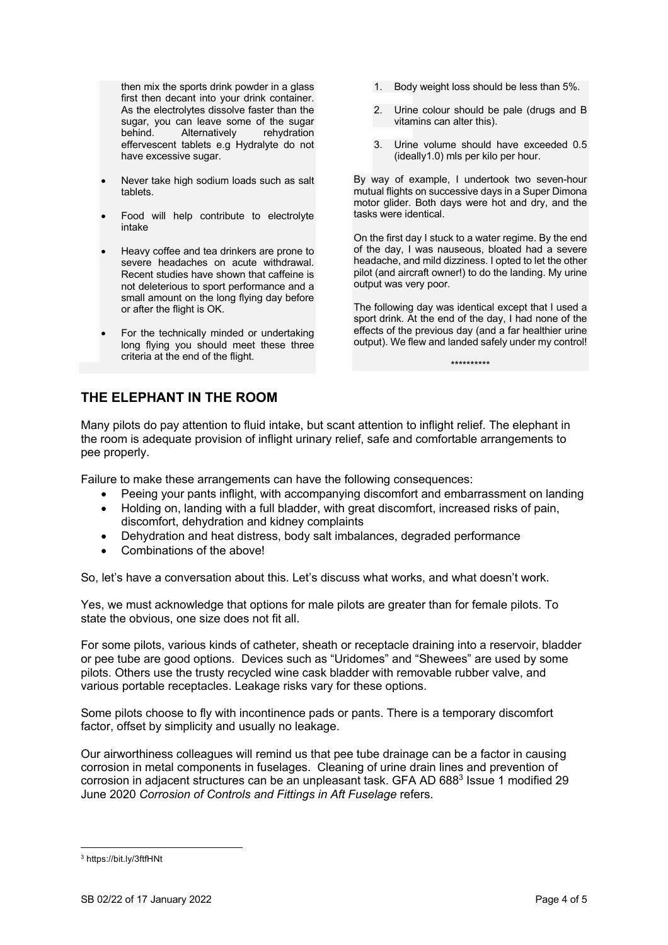then mix the sports drink powder in a glass first then decant into your drink container. As the electrolytes dissolve faster than the sugar, you can leave some of the sugar behind. Alternatively rehydration effervescent tablets e.g Hydralyte do not have excessive sugar.

- Never take high sodium loads such as salt tablets.
- Food will help contribute to electrolyte intake
- Heavy coffee and tea drinkers are prone to severe headaches on acute withdrawal. Recent studies have shown that caffeine is not deleterious to sport performance and a small amount on the long flying day before or after the flight is OK.
- For the technically minded or undertaking long flying you should meet these three criteria at the end of the flight.
- 1. Body weight loss should be less than 5%.
- 2. Urine colour should be pale (drugs and B vitamins can alter this).
- 3. Urine volume should have exceeded 0.5 (ideally1.0) mls per kilo per hour.

By way of example, I undertook two seven-hour mutual flights on successive days in a Super Dimona motor glider. Both days were hot and dry, and the tasks were identical.

On the first day I stuck to a water regime. By the end of the day, I was nauseous, bloated had a severe headache, and mild dizziness. I opted to let the other pilot (and aircraft owner!) to do the landing. My urine output was very poor.

The following day was identical except that I used a sport drink. At the end of the day, I had none of the effects of the previous day (and a far healthier urine output). We flew and landed safely under my control!

\*\*\*\*\*\*\*\*\*\*

**THE ELEPHANT IN THE ROOM**

Many pilots do pay attention to fluid intake, but scant attention to inflight relief. The elephant in the room is adequate provision of inflight urinary relief, safe and comfortable arrangements to pee properly.

Failure to make these arrangements can have the following consequences:

- Peeing your pants inflight, with accompanying discomfort and embarrassment on landing
- Holding on, landing with a full bladder, with great discomfort, increased risks of pain, discomfort, dehydration and kidney complaints
- Dehydration and heat distress, body salt imbalances, degraded performance
- Combinations of the above!

So, let's have a conversation about this. Let's discuss what works, and what doesn't work.

Yes, we must acknowledge that options for male pilots are greater than for female pilots. To state the obvious, one size does not fit all.

For some pilots, various kinds of catheter, sheath or receptacle draining into a reservoir, bladder or pee tube are good options. Devices such as "Uridomes" and "Shewees" are used by some pilots. Others use the trusty recycled wine cask bladder with removable rubber valve, and various portable receptacles. Leakage risks vary for these options.

Some pilots choose to fly with incontinence pads or pants. There is a temporary discomfort factor, offset by simplicity and usually no leakage.

Our airworthiness colleagues will remind us that pee tube drainage can be a factor in causing corrosion in metal components in fuselages. Cleaning of urine drain lines and prevention of corrosion in adjacent structures can be an unpleasant task. GFA AD 688<sup>3</sup> Issue 1 modified 29 June 2020 *Corrosion of Controls and Fittings in Aft Fuselage* refers.

<sup>3</sup> https://bit.ly/3ftfHNt